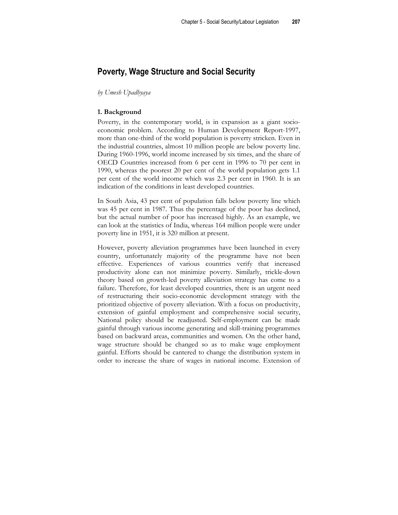# **Poverty, Wage Structure and Social Security**

#### *by Umesh Upadhyaya*

### **1. Background**

Poverty, in the contemporary world, is in expansion as a giant socioeconomic problem. According to Human Development Report-1997, more than one-third of the world population is poverty stricken. Even in the industrial countries, almost 10 million people are below poverty line. During 1960-1996, world income increased by six times, and the share of OECD Countries increased from 6 per cent in 1996 to 70 per cent in 1990, whereas the poorest 20 per cent of the world population gets 1.1 per cent of the world income which was 2.3 per cent in 1960. It is an indication of the conditions in least developed countries.

In South Asia, 43 per cent of population falls below poverty line which was 45 per cent in 1987. Thus the percentage of the poor has declined, but the actual number of poor has increased highly. As an example, we can look at the statistics of India, whereas 164 million people were under poverty line in 1951, it is 320 million at present.

However, poverty alleviation programmes have been launched in every country, unfortunately majority of the programme have not been effective. Experiences of various countries verify that increased productivity alone can not minimize poverty. Similarly, trickle-down theory based on growth-led poverty alleviation strategy has come to a failure. Therefore, for least developed countries, there is an urgent need of restructuring their socio-economic development strategy with the prioritized objective of poverty alleviation. With a focus on productivity, extension of gainful employment and comprehensive social security, National policy should be readjusted. Self-employment can be made gainful through various income generating and skill-training programmes based on backward areas, communities and women. On the other hand, wage structure should be changed so as to make wage employment gainful. Efforts should be cantered to change the distribution system in order to increase the share of wages in national income. Extension of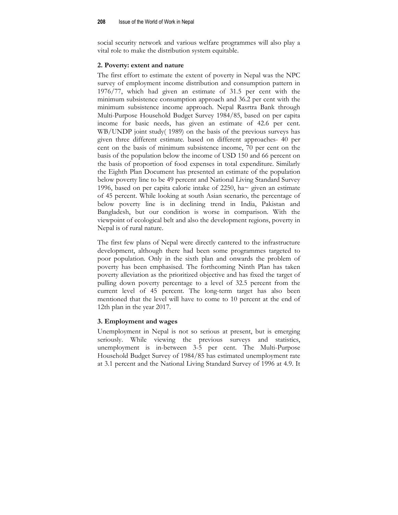social security network and various welfare programmes will also play a vital role to make the distribution system equitable.

#### **2. Poverty: extent and nature**

The first effort to estimate the extent of poverty in Nepal was the NPC survey of employment income distribution and consumption pattern in 1976/77, which had given an estimate of 31.5 per cent with the minimum subsistence consumption approach and 36.2 per cent with the minimum subsistence income approach. Nepal Rasrtra Bank through Multi-Purpose Household Budget Survey 1984/85, based on per capita income for basic needs, has given an estimate of 42.6 per cent. WB/UNDP joint study( 1989) on the basis of the previous surveys has given three different estimate. based on different approaches- 40 per cent on the basis of minimum subsistence income, 70 per cent on the basis of the population below the income of USD 150 and 66 percent on the basis of proportion of food expenses in total expenditure. Similarly the Eighth Plan Document has presented an estimate of the population below poverty line to be 49 percent and National Living Standard Survey 1996, based on per capita calorie intake of 2250, ha~ given an estimate of 45 percent. While looking at south Asian scenario, the percentage of below poverty line is in declining trend in India, Pakistan and Bangladesh, but our condition is worse in comparison. With the viewpoint of ecological belt and also the development regions, poverty in Nepal is of rural nature.

The first few plans of Nepal were directly cantered to the infrastructure development, although there had been some programmes targeted to poor population. Only in the sixth plan and onwards the problem of poverty has been emphasised. The forthcoming Ninth Plan has taken poverty alleviation as the prioritized objective and has fixed the target of pulling down poverty percentage to a level of 32.5 percent from the current level of 45 percent. The long-term target has also been mentioned that the level will have to come to 10 percent at the end of 12th plan in the year 2017.

#### **3. Employment and wages**

Unemployment in Nepal is not so serious at present, but is emerging seriously. While viewing the previous surveys and statistics, unemployment is in-between 3-5 per cent. The Multi-Purpose Household Budget Survey of 1984/85 has estimated unemployment rate at 3.1 percent and the National Living Standard Survey of 1996 at 4.9. It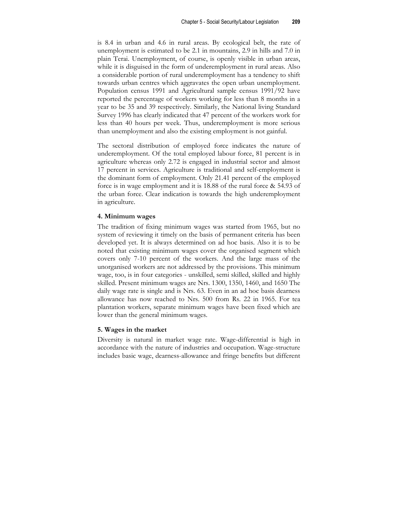is 8.4 in urban and 4.6 in rural areas. By ecological belt, the rate of unemployment is estimated to be 2.1 in mountains, 2.9 in hills and 7.0 in plain Terai. Unemployment, of course, is openly visible in urban areas, while it is disguised in the form of underemployment in rural areas. Also a considerable portion of rural underemployment has a tendency to shift towards urban centres which aggravates the open urban unemployment. Population census 1991 and Agricultural sample census 1991/92 have reported the percentage of workers working for less than 8 months in a year to be 35 and 39 respectively. Similarly, the National living Standard Survey 1996 has clearly indicated that 47 percent of the workers work for less than 40 hours per week. Thus, underemployment is more serious than unemployment and also the existing employment is not gainful.

The sectoral distribution of employed force indicates the nature of underemployment. Of the total employed labour force, 81 percent is in agriculture whereas only 2.72 is engaged in industrial sector and almost 17 percent in services. Agriculture is traditional and self-employment is the dominant form of employment. Only 21.41 percent of the employed force is in wage employment and it is 18.88 of the rural force & 54.93 of the urban force. Clear indication is towards the high underemployment in agriculture.

## **4. Minimum wages**

The tradition of fixing minimum wages was started from 1965, but no system of reviewing it timely on the basis of permanent criteria has been developed yet. It is always determined on ad hoc basis. Also it is to be noted that existing minimum wages cover the organised segment which covers only 7-10 percent of the workers. And the large mass of the unorganised workers are not addressed by the provisions. This minimum wage, too, is in four categories - unskilled, semi skilled, skilled and highly skilled. Present minimum wages are Nrs. 1300, 1350, 1460, and 1650 The daily wage rate is single and is Nrs. 63. Even in an ad hoc basis dearness allowance has now reached to Nrs. 500 from Rs. 22 in 1965. For tea plantation workers, separate minimum wages have been fixed which are lower than the general minimum wages.

## **5. Wages in the market**

Diversity is natural in market wage rate. Wage-differential is high in accordance with the nature of industries and occupation. Wage-structure includes basic wage, dearness-allowance and fringe benefits but different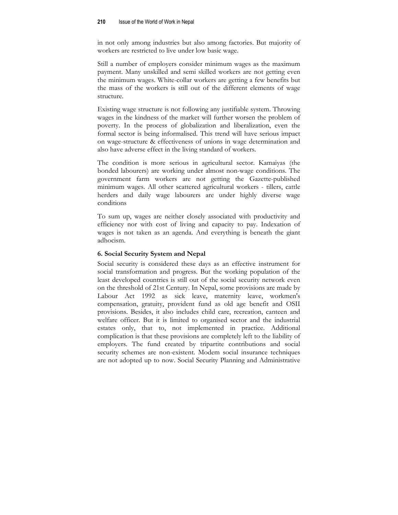in not only among industries but also among factories. But majority of workers are restricted to live under low basic wage.

Still a number of employers consider minimum wages as the maximum payment. Many unskilled and semi skilled workers are not getting even the minimum wages. White-collar workers are getting a few benefits but the mass of the workers is still out of the different elements of wage structure.

Existing wage structure is not following any justifiable system. Throwing wages in the kindness of the market will further worsen the problem of poverty. In the process of globalization and liberalization, even the formal sector is being informalised. This trend will have serious impact on wage-structure & effectiveness of unions in wage determination and also have adverse effect in the living standard of workers.

The condition is more serious in agricultural sector. Kamaiyas (the bonded labourers) are working under almost non-wage conditions. The government farm workers are not getting the Gazette-published minimum wages. All other scattered agricultural workers - tillers, cattle herders and daily wage labourers are under highly diverse wage conditions

To sum up, wages are neither closely associated with productivity and efficiency nor with cost of living and capacity to pay. Indexation of wages is not taken as an agenda. And everything is beneath the giant adhocism.

## **6. Social Security System and Nepal**

Social security is considered these days as an effective instrument for social transformation and progress. But the working population of the least developed countries is still out of the social security network even on the threshold of 21st Century. In Nepal, some provisions are made by Labour Act 1992 as sick leave, maternity leave, workmen's compensation, gratuity, provident fund as old age benefit and OSII provisions. Besides, it also includes child care, recreation, canteen and welfare officer. But it is limited to organised sector and the industrial estates only, that to, not implemented in practice. Additional complication is that these provisions are completely left to the liability of employers. The fund created by tripartite contributions and social security schemes are non-existent. Modem social insurance techniques are not adopted up to now. Social Security Planning and Administrative